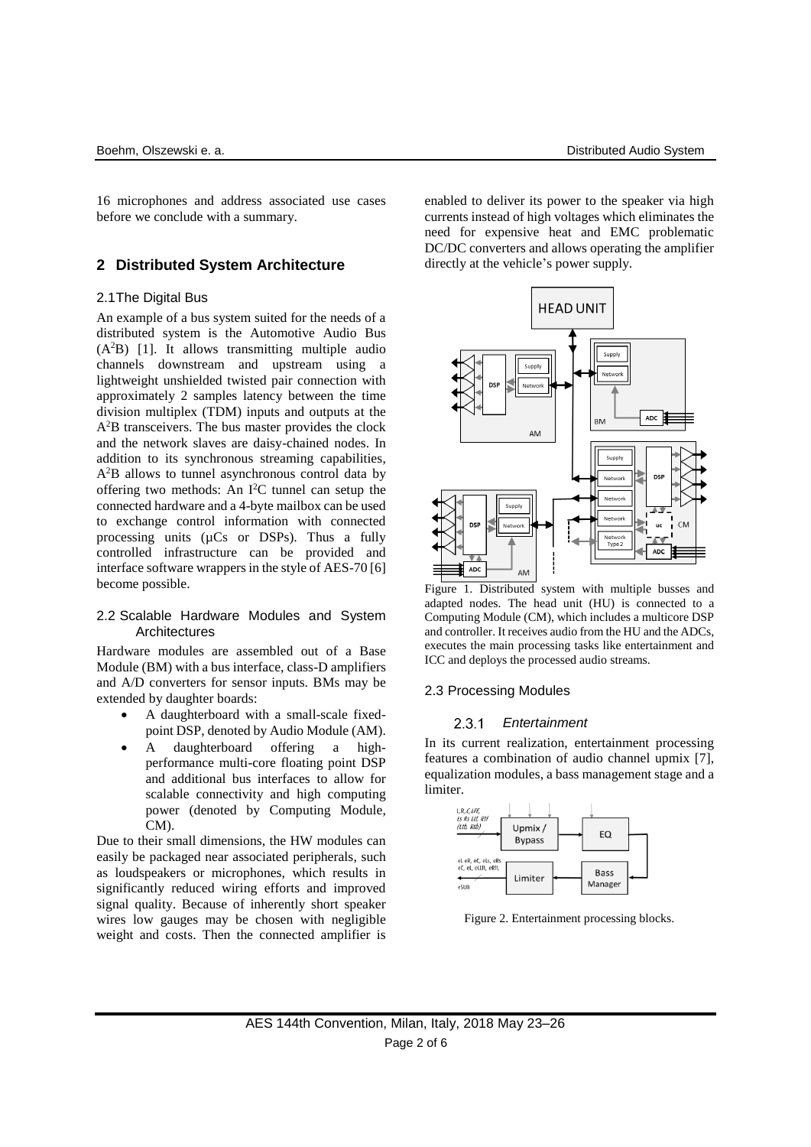16 microphones and address associated use cases before we conclude with a summary.

## **2 Distributed System Architecture**

### 2.1The Digital Bus

An example of a bus system suited for the needs of a distributed system is the Automotive Audio Bus (A<sup>2</sup>B) [1]. It allows transmitting multiple audio channels downstream and upstream using a lightweight unshielded twisted pair connection with approximately 2 samples latency between the time division multiplex (TDM) inputs and outputs at the A<sup>2</sup>B transceivers. The bus master provides the clock and the network slaves are daisy-chained nodes. In addition to its synchronous streaming capabilities, A<sup>2</sup>B allows to tunnel asynchronous control data by offering two methods: An I <sup>2</sup>C tunnel can setup the connected hardware and a 4-byte mailbox can be used to exchange control information with connected processing units (µCs or DSPs). Thus a fully controlled infrastructure can be provided and interface software wrappers in the style of AES-70 [6] become possible.

### 2.2 Scalable Hardware Modules and System **Architectures**

Hardware modules are assembled out of a Base Module (BM) with a bus interface, class-D amplifiers and A/D converters for sensor inputs. BMs may be extended by daughter boards:

- A daughterboard with a small-scale fixedpoint DSP, denoted by Audio Module (AM).
- A daughterboard offering a highperformance multi-core floating point DSP and additional bus interfaces to allow for scalable connectivity and high computing power (denoted by Computing Module, CM).

Due to their small dimensions, the HW modules can easily be packaged near associated peripherals, such as loudspeakers or microphones, which results in significantly reduced wiring efforts and improved signal quality. Because of inherently short speaker wires low gauges may be chosen with negligible weight and costs. Then the connected amplifier is enabled to deliver its power to the speaker via high currents instead of high voltages which eliminates the need for expensive heat and EMC problematic DC/DC converters and allows operating the amplifier directly at the vehicle's power supply.



Figure 1. Distributed system with multiple busses and adapted nodes. The head unit (HU) is connected to a Computing Module (CM), which includes a multicore DSP and controller. It receives audio from the HU and the ADCs, executes the main processing tasks like entertainment and ICC and deploys the processed audio streams.

## 2.3 Processing Modules

#### *Entertainment*  2.3.1

In its current realization, entertainment processing features a combination of audio channel upmix [7], equalization modules, a bass management stage and a limiter.



Figure 2. Entertainment processing blocks.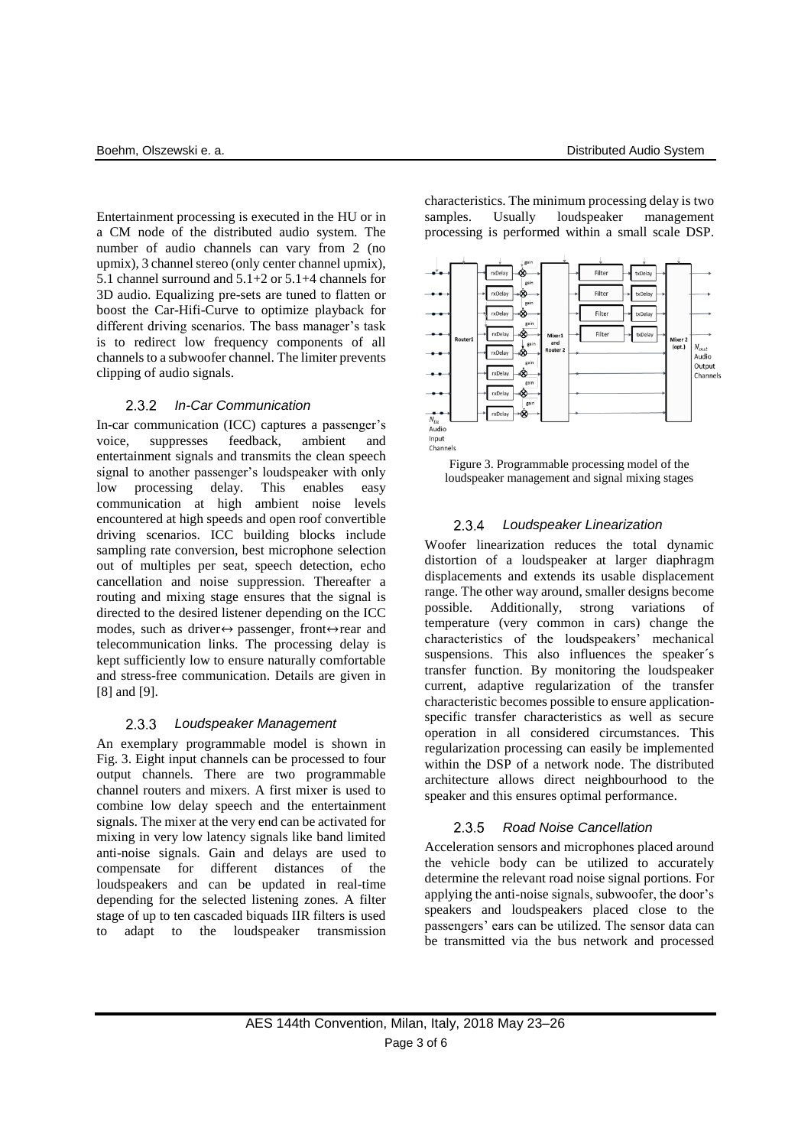Entertainment processing is executed in the HU or in a CM node of the distributed audio system. The number of audio channels can vary from 2 (no upmix), 3 channel stereo (only center channel upmix), 5.1 channel surround and 5.1+2 or 5.1+4 channels for 3D audio. Equalizing pre-sets are tuned to flatten or boost the Car-Hifi-Curve to optimize playback for different driving scenarios. The bass manager's task is to redirect low frequency components of all channels to a subwoofer channel. The limiter prevents clipping of audio signals.

### $2.3.2$ *In-Car Communication*

In-car communication (ICC) captures a passenger's voice, suppresses feedback, ambient and entertainment signals and transmits the clean speech signal to another passenger's loudspeaker with only low processing delay. This enables easy communication at high ambient noise levels encountered at high speeds and open roof convertible driving scenarios. ICC building blocks include sampling rate conversion, best microphone selection out of multiples per seat, speech detection, echo cancellation and noise suppression. Thereafter a routing and mixing stage ensures that the signal is directed to the desired listener depending on the ICC modes, such as driver↔ passenger, front↔rear and telecommunication links. The processing delay is kept sufficiently low to ensure naturally comfortable and stress-free communication. Details are given in [8] and [9].

#### $2.3.3$ *Loudspeaker Management*

An exemplary programmable model is shown in Fig. 3. Eight input channels can be processed to four output channels. There are two programmable channel routers and mixers. A first mixer is used to combine low delay speech and the entertainment signals. The mixer at the very end can be activated for mixing in very low latency signals like band limited anti-noise signals. Gain and delays are used to compensate for different distances of the loudspeakers and can be updated in real-time depending for the selected listening zones. A filter stage of up to ten cascaded biquads IIR filters is used to adapt to the loudspeaker transmission



characteristics. The minimum processing delay is two samples. Usually loudspeaker management processing is performed within a small scale DSP.



### $2.3.4$ *Loudspeaker Linearization*

Woofer linearization reduces the total dynamic distortion of a loudspeaker at larger diaphragm displacements and extends its usable displacement range. The other way around, smaller designs become possible. Additionally, strong variations of temperature (very common in cars) change the characteristics of the loudspeakers' mechanical suspensions. This also influences the speaker´s transfer function. By monitoring the loudspeaker current, adaptive regularization of the transfer characteristic becomes possible to ensure applicationspecific transfer characteristics as well as secure operation in all considered circumstances. This regularization processing can easily be implemented within the DSP of a network node. The distributed architecture allows direct neighbourhood to the speaker and this ensures optimal performance.

### $2.3.5$ *Road Noise Cancellation*

Acceleration sensors and microphones placed around the vehicle body can be utilized to accurately determine the relevant road noise signal portions. For applying the anti-noise signals, subwoofer, the door's speakers and loudspeakers placed close to the passengers' ears can be utilized. The sensor data can be transmitted via the bus network and processed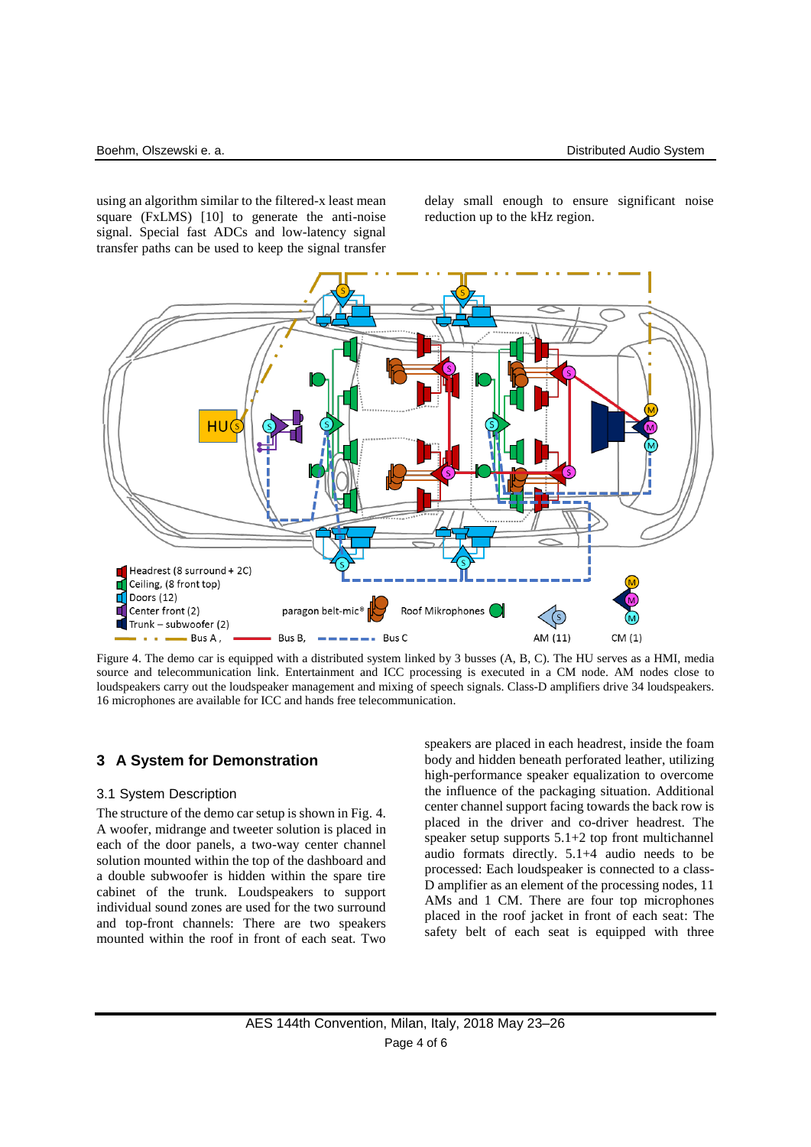using an algorithm similar to the filtered-x least mean square (FxLMS) [10] to generate the anti-noise signal. Special fast ADCs and low-latency signal transfer paths can be used to keep the signal transfer

delay small enough to ensure significant noise reduction up to the kHz region.



Figure 4. The demo car is equipped with a distributed system linked by 3 busses (A, B, C). The HU serves as a HMI, media source and telecommunication link. Entertainment and ICC processing is executed in a CM node. AM nodes close to loudspeakers carry out the loudspeaker management and mixing of speech signals. Class-D amplifiers drive 34 loudspeakers. 16 microphones are available for ICC and hands free telecommunication.

## **3 A System for Demonstration**

### 3.1 System Description

The structure of the demo car setup is shown in Fig. 4. A woofer, midrange and tweeter solution is placed in each of the door panels, a two-way center channel solution mounted within the top of the dashboard and a double subwoofer is hidden within the spare tire cabinet of the trunk. Loudspeakers to support individual sound zones are used for the two surround and top-front channels: There are two speakers mounted within the roof in front of each seat. Two

speakers are placed in each headrest, inside the foam body and hidden beneath perforated leather, utilizing high-performance speaker equalization to overcome the influence of the packaging situation. Additional center channel support facing towards the back row is placed in the driver and co-driver headrest. The speaker setup supports 5.1+2 top front multichannel audio formats directly. 5.1+4 audio needs to be processed: Each loudspeaker is connected to a class-D amplifier as an element of the processing nodes, 11 AMs and 1 CM. There are four top microphones placed in the roof jacket in front of each seat: The safety belt of each seat is equipped with three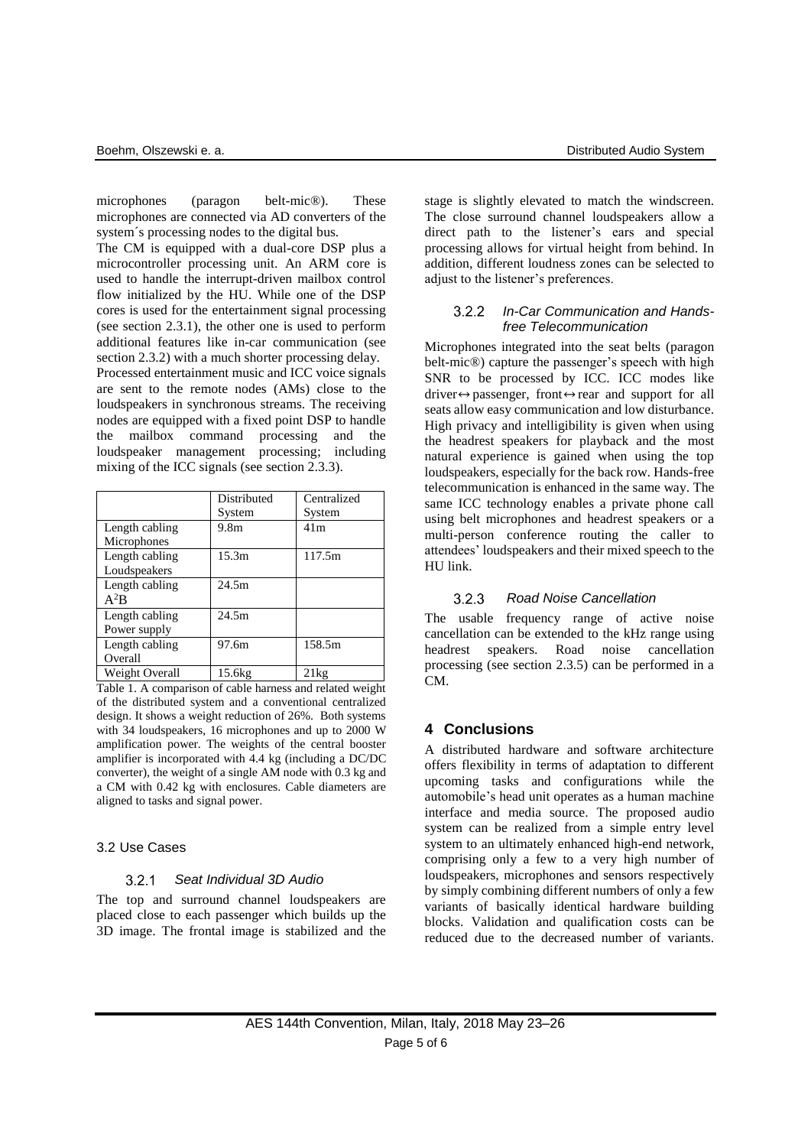microphones (paragon belt-mic®). These microphones are connected via AD converters of the system´s processing nodes to the digital bus.

The CM is equipped with a dual-core DSP plus a microcontroller processing unit. An ARM core is used to handle the interrupt-driven mailbox control flow initialized by the HU. While one of the DSP cores is used for the entertainment signal processing (see section 2.3.1), the other one is used to perform additional features like in-car communication (see section 2.3.2) with a much shorter processing delay. Processed entertainment music and ICC voice signals are sent to the remote nodes (AMs) close to the loudspeakers in synchronous streams. The receiving nodes are equipped with a fixed point DSP to handle the mailbox command processing and the loudspeaker management processing; including mixing of the ICC signals (see section 2.3.3).

|                                | Distributed      | Centralized     |
|--------------------------------|------------------|-----------------|
|                                | System           | System          |
| Length cabling<br>Microphones  | 9.8 <sub>m</sub> | 41 <sub>m</sub> |
| Length cabling<br>Loudspeakers | 15.3m            | 117.5m          |
| Length cabling<br>$A^2B$       | 24.5m            |                 |
| Length cabling<br>Power supply | 24.5m            |                 |
| Length cabling<br>Overall      | 97.6m            | 158.5m          |
| Weight Overall                 | 15.6kg           | 21kg            |

Table 1. A comparison of cable harness and related weight of the distributed system and a conventional centralized design. It shows a weight reduction of 26%. Both systems with 34 loudspeakers, 16 microphones and up to 2000 W amplification power. The weights of the central booster amplifier is incorporated with 4.4 kg (including a DC/DC converter), the weight of a single AM node with 0.3 kg and a CM with 0.42 kg with enclosures. Cable diameters are aligned to tasks and signal power.

## 3.2 Use Cases

#### $3.2.1$ *Seat Individual 3D Audio*

The top and surround channel loudspeakers are placed close to each passenger which builds up the 3D image. The frontal image is stabilized and the stage is slightly elevated to match the windscreen. The close surround channel loudspeakers allow a direct path to the listener's ears and special processing allows for virtual height from behind. In addition, different loudness zones can be selected to adjust to the listener's preferences.

### $322$ *In-Car Communication and Handsfree Telecommunication*

Microphones integrated into the seat belts (paragon belt-mic®) capture the passenger's speech with high SNR to be processed by ICC. ICC modes like driver $\leftrightarrow$  passenger, front $\leftrightarrow$  rear and support for all seats allow easy communication and low disturbance. High privacy and intelligibility is given when using the headrest speakers for playback and the most natural experience is gained when using the top loudspeakers, especially for the back row. Hands-free telecommunication is enhanced in the same way. The same ICC technology enables a private phone call using belt microphones and headrest speakers or a multi-person conference routing the caller to attendees' loudspeakers and their mixed speech to the HU link.

#### *Road Noise Cancellation*  $3.2.3$

The usable frequency range of active noise cancellation can be extended to the kHz range using headrest speakers. Road noise cancellation processing (see section 2.3.5) can be performed in a CM.

## **4 Conclusions**

A distributed hardware and software architecture offers flexibility in terms of adaptation to different upcoming tasks and configurations while the automobile's head unit operates as a human machine interface and media source. The proposed audio system can be realized from a simple entry level system to an ultimately enhanced high-end network, comprising only a few to a very high number of loudspeakers, microphones and sensors respectively by simply combining different numbers of only a few variants of basically identical hardware building blocks. Validation and qualification costs can be reduced due to the decreased number of variants.